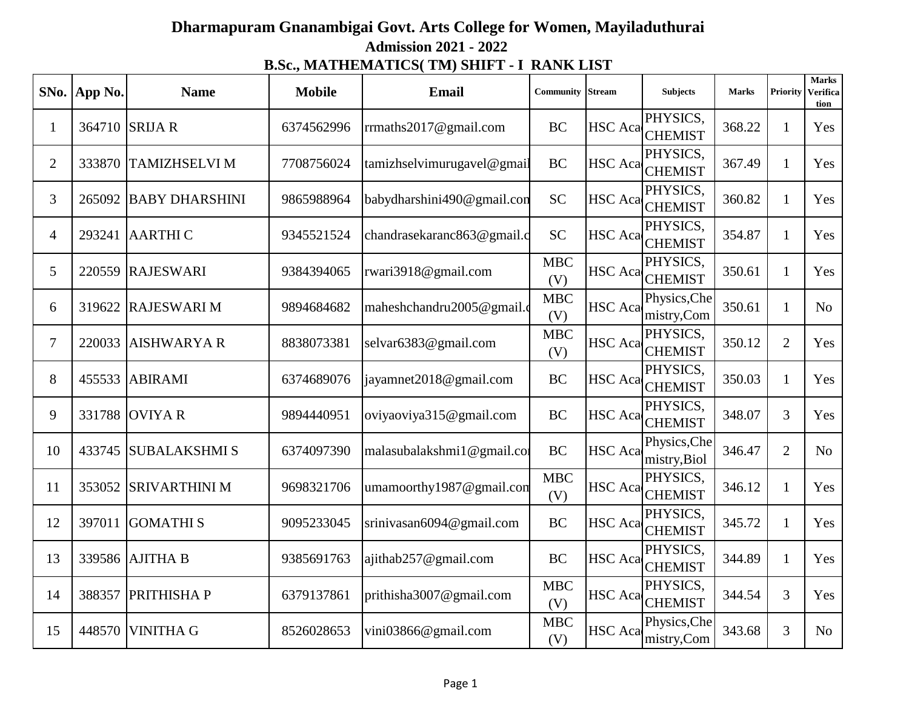## **Admission 2021 - 2022 B.Sc., MATHEMATICS( TM) SHIFT - I RANK LIST Dharmapuram Gnanambigai Govt. Arts College for Women, Mayiladuthurai**

| SNo.           | App No. | <b>Name</b>           | <b>Mobile</b> | <b>Email</b>               | Community         | Stream         | <b>Subjects</b>              | <b>Marks</b> | <b>Priority</b> | <b>Marks</b><br>Verifica<br>tion |
|----------------|---------|-----------------------|---------------|----------------------------|-------------------|----------------|------------------------------|--------------|-----------------|----------------------------------|
| $\mathbf{1}$   |         | 364710 SRIJA R        | 6374562996    | rrmaths2017@gmail.com      | <b>BC</b>         | <b>HSC</b> Aca | PHYSICS,<br><b>CHEMIST</b>   | 368.22       | $\mathbf{1}$    | Yes                              |
| $\overline{2}$ | 333870  | <b>TAMIZHSELVI M</b>  | 7708756024    | tamizhselvimurugavel@gmail | <b>BC</b>         | <b>HSC</b> Aca | PHYSICS,<br><b>CHEMIST</b>   | 367.49       | 1               | Yes                              |
| 3              | 265092  | <b>BABY DHARSHINI</b> | 9865988964    | babydharshini490@gmail.con | <b>SC</b>         | <b>HSC</b> Aca | PHYSICS,<br><b>CHEMIST</b>   | 360.82       | $\mathbf{1}$    | Yes                              |
| $\overline{4}$ | 293241  | <b>AARTHIC</b>        | 9345521524    | chandrasekaranc863@gmail.c | <b>SC</b>         | <b>HSC</b> Aca | PHYSICS,<br><b>CHEMIST</b>   | 354.87       | $\mathbf{1}$    | Yes                              |
| 5              | 220559  | <b>RAJESWARI</b>      | 9384394065    | rwari3918@gmail.com        | <b>MBC</b><br>(V) | <b>HSC</b> Aca | PHYSICS,<br><b>CHEMIST</b>   | 350.61       | $\mathbf{1}$    | Yes                              |
| 6              | 319622  | <b>RAJESWARI M</b>    | 9894684682    | maheshchandru2005@gmail.c  | <b>MBC</b><br>(V) | <b>HSC</b> Aca | Physics, Che<br>mistry,Com   | 350.61       | $\mathbf{1}$    | N <sub>o</sub>                   |
| $\tau$         | 220033  | <b>AISHWARYAR</b>     | 8838073381    | selvar6383@gmail.com       | <b>MBC</b><br>(V) | <b>HSC</b> Aca | PHYSICS,<br><b>CHEMIST</b>   | 350.12       | $\overline{2}$  | Yes                              |
| 8              | 455533  | <b>ABIRAMI</b>        | 6374689076    | jayamnet2018@gmail.com     | <b>BC</b>         | <b>HSC</b> Aca | PHYSICS,<br><b>CHEMIST</b>   | 350.03       | 1               | Yes                              |
| 9              | 331788  | <b>OVIYAR</b>         | 9894440951    | oviyaoviya315@gmail.com    | <b>BC</b>         | <b>HSC</b> Aca | PHYSICS,<br><b>CHEMIST</b>   | 348.07       | 3               | Yes                              |
| 10             |         | 433745 SUBALAKSHMIS   | 6374097390    | malasubalakshmi1@gmail.com | <b>BC</b>         | <b>HSC</b> Aca | Physics, Che<br>mistry, Biol | 346.47       | $\overline{2}$  | N <sub>o</sub>                   |
| 11             | 353052  | <b>SRIVARTHINI M</b>  | 9698321706    | umamoorthy1987@gmail.com   | <b>MBC</b><br>(V) | <b>HSC</b> Aca | PHYSICS,<br><b>CHEMIST</b>   | 346.12       | $\mathbf{1}$    | Yes                              |
| 12             | 397011  | <b>GOMATHIS</b>       | 9095233045    | srinivasan6094@gmail.com   | BC                | <b>HSC</b> Aca | PHYSICS,<br><b>CHEMIST</b>   | 345.72       | $\mathbf{1}$    | Yes                              |
| 13             |         | 339586 AJITHA B       | 9385691763    | ajithab257@gmail.com       | <b>BC</b>         | <b>HSC</b> Aca | PHYSICS,<br><b>CHEMIST</b>   | 344.89       | $\mathbf{1}$    | Yes                              |
| 14             | 388357  | PRITHISHA P           | 6379137861    | prithisha3007@gmail.com    | <b>MBC</b><br>(V) | <b>HSC</b> Aca | PHYSICS,<br><b>CHEMIST</b>   | 344.54       | 3               | Yes                              |
| 15             | 448570  | <b>VINITHA G</b>      | 8526028653    | vini03866@gmail.com        | <b>MBC</b><br>(V) | <b>HSC</b> Aca | Physics, Che<br>mistry,Com   | 343.68       | 3               | N <sub>o</sub>                   |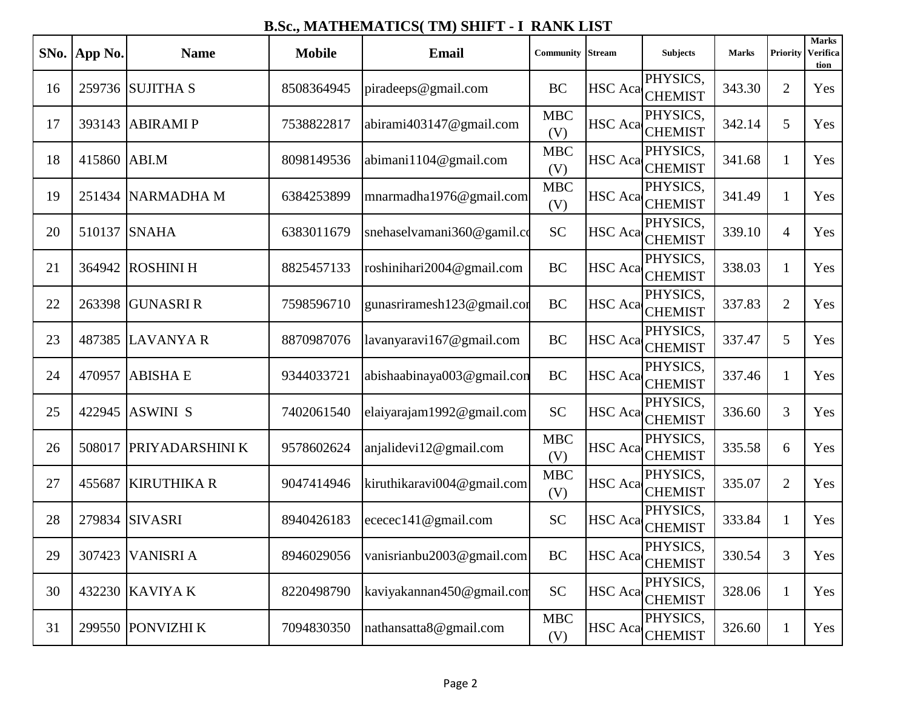|    | SNo. App No. | <b>Name</b>        | <b>Mobile</b> | <b>Email</b>               | <b>Community</b>  | <b>Stream</b>  | <b>Subjects</b>             | <b>Marks</b> | Priority       | <b>Marks</b><br><b>Verifica</b><br>tion |
|----|--------------|--------------------|---------------|----------------------------|-------------------|----------------|-----------------------------|--------------|----------------|-----------------------------------------|
| 16 |              | 259736 SUJITHA S   | 8508364945    | piradeeps@gmail.com        | <b>BC</b>         | <b>HSC</b> Aca | PHYSICS,<br><b>CHEMIST</b>  | 343.30       | $\overline{2}$ | Yes                                     |
| 17 | 393143       | <b>ABIRAMIP</b>    | 7538822817    | abirami403147@gmail.com    | <b>MBC</b><br>(V) | <b>HSC</b> Aca | PHYSICS,<br><b>CHEMIST</b>  | 342.14       | 5              | Yes                                     |
| 18 | 415860       | ABI.M              | 8098149536    | abimani1104@gmail.com      | <b>MBC</b><br>(V) | HSC Acal       | PHYSICS,<br><b>CHEMIST</b>  | 341.68       | $\mathbf{1}$   | Yes                                     |
| 19 | 251434       | <b>NARMADHA M</b>  | 6384253899    | mnarmadha1976@gmail.com    | <b>MBC</b><br>(V) | <b>HSC</b> Aca | PHYSICS,<br><b>CHEMIST</b>  | 341.49       | $\mathbf{1}$   | Yes                                     |
| 20 | 510137       | <b>SNAHA</b>       | 6383011679    | snehaselvamani360@gamil.co | <b>SC</b>         | <b>HSC</b> Aca | PHYSICS,<br><b>CHEMIST</b>  | 339.10       | $\overline{4}$ | Yes                                     |
| 21 | 364942       | <b>ROSHINI H</b>   | 8825457133    | roshinihari2004@gmail.com  | <b>BC</b>         | <b>HSC</b> Aca | PHYSICS,<br><b>CHEMIST</b>  | 338.03       | $\mathbf{1}$   | Yes                                     |
| 22 | 263398       | <b>GUNASRI R</b>   | 7598596710    | gunasriramesh123@gmail.com | BC                | <b>HSC</b> Aca | PHYSICS,<br><b>CHEMIST</b>  | 337.83       | $\overline{2}$ | Yes                                     |
| 23 | 487385       | <b>LAVANYA R</b>   | 8870987076    | lavanyaravi167@gmail.com   | <b>BC</b>         | HSC Aca        | PHYSICS,<br><b>CHEMIST</b>  | 337.47       | 5              | Yes                                     |
| 24 | 470957       | <b>ABISHA E</b>    | 9344033721    | abishaabinaya003@gmail.con | <b>BC</b>         | <b>HSC</b> Aca | PHYSICS,<br><b>CHEMIST</b>  | 337.46       | $\mathbf{1}$   | Yes                                     |
| 25 | 422945       | <b>ASWINI S</b>    | 7402061540    | elaiyarajam1992@gmail.com  | <b>SC</b>         | <b>HSC</b> Aca | PHYSICS,<br><b>CHEMIST</b>  | 336.60       | 3              | Yes                                     |
| 26 | 508017       | PRIYADARSHINI K    | 9578602624    | anjalidevi12@gmail.com     | <b>MBC</b><br>(V) | <b>HSC</b> Aca | PHYSICS,<br><b>CHEMIST</b>  | 335.58       | 6              | Yes                                     |
| 27 | 455687       | <b>KIRUTHIKA R</b> | 9047414946    | kiruthikaravi004@gmail.com | <b>MBC</b><br>(V) | <b>HSC</b> Aca | PHYSICS,<br><b>CHEMIST</b>  | 335.07       | $\overline{2}$ | Yes                                     |
| 28 | 279834       | <b>SIVASRI</b>     | 8940426183    | ececec141@gmail.com        | <b>SC</b>         | <b>HSC</b> Aca | PHYSICS.<br><b>CHEMIST</b>  | 333.84       | $\mathbf{1}$   | Yes                                     |
| 29 | 307423       | <b>VANISRIA</b>    | 8946029056    | vanisrianbu2003@gmail.com  | BC                |                | PHYSICS,<br>HSC Aca CHEMIST | 330.54       | $\overline{3}$ | Yes                                     |
| 30 | 432230       | <b>KAVIYAK</b>     | 8220498790    | kaviyakannan450@gmail.com  | <b>SC</b>         | <b>HSC</b> Aca | PHYSICS,<br><b>CHEMIST</b>  | 328.06       | $\mathbf{1}$   | Yes                                     |
| 31 |              | 299550 PONVIZHI K  | 7094830350    | nathansatta8@gmail.com     | <b>MBC</b><br>(V) | HSC Aca        | PHYSICS,<br><b>CHEMIST</b>  | 326.60       | $\mathbf{1}$   | Yes                                     |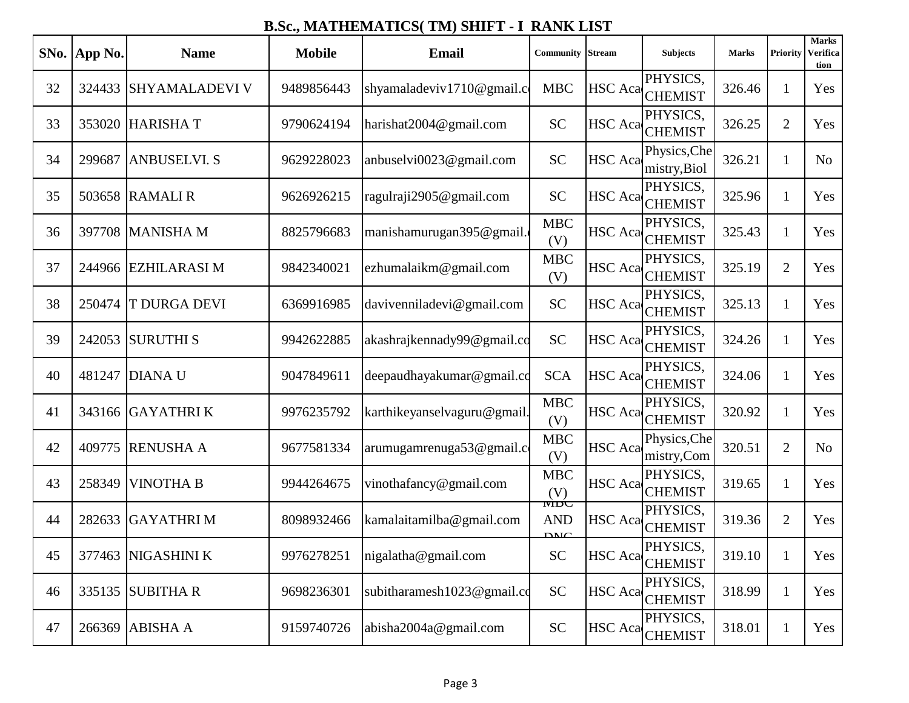| SNo. | <b>App No.</b> | <b>Name</b>           | <b>Mobile</b> | <b>Email</b>                | Community                        | <b>Stream</b>  | <b>Subjects</b>              | <b>Marks</b> | <b>Priority</b> | <b>Marks</b><br><b>Verifica</b><br>tion |
|------|----------------|-----------------------|---------------|-----------------------------|----------------------------------|----------------|------------------------------|--------------|-----------------|-----------------------------------------|
| 32   | 324433         | <b>SHYAMALADEVI V</b> | 9489856443    | shyamaladeviv1710@gmail.com | <b>MBC</b>                       | <b>HSC</b> Aca | PHYSICS,<br><b>CHEMIST</b>   | 326.46       | 1               | Yes                                     |
| 33   | 353020         | <b>HARISHAT</b>       | 9790624194    | harishat2004@gmail.com      | <b>SC</b>                        | <b>HSC</b> Aca | PHYSICS,<br><b>CHEMIST</b>   | 326.25       | $\overline{2}$  | Yes                                     |
| 34   | 299687         | <b>ANBUSELVI. S</b>   | 9629228023    | anbuselvi0023@gmail.com     | <b>SC</b>                        | <b>HSC</b> Aca | Physics, Che<br>mistry, Biol | 326.21       | $\mathbf{1}$    | No                                      |
| 35   | 503658         | <b>RAMALIR</b>        | 9626926215    | ragulraji2905@gmail.com     | <b>SC</b>                        | <b>HSC</b> Aca | PHYSICS,<br><b>CHEMIST</b>   | 325.96       | 1               | Yes                                     |
| 36   | 397708         | <b>MANISHAM</b>       | 8825796683    | manishamurugan395@gmail.    | <b>MBC</b><br>(V)                | HSC Aca        | PHYSICS,<br><b>CHEMIST</b>   | 325.43       | $\mathbf{1}$    | Yes                                     |
| 37   | 244966         | <b>EZHILARASIM</b>    | 9842340021    | ezhumalaikm@gmail.com       | <b>MBC</b><br>(V)                | <b>HSC</b> Aca | PHYSICS,<br><b>CHEMIST</b>   | 325.19       | $\overline{2}$  | Yes                                     |
| 38   | 250474         | <b>T DURGA DEVI</b>   | 6369916985    | davivenniladevi@gmail.com   | <b>SC</b>                        | <b>HSC</b> Aca | PHYSICS,<br><b>CHEMIST</b>   | 325.13       | $\mathbf{1}$    | Yes                                     |
| 39   | 242053         | <b>SURUTHIS</b>       | 9942622885    | akashrajkennady99@gmail.co  | <b>SC</b>                        | HSC Aca        | PHYSICS,<br><b>CHEMIST</b>   | 324.26       | $\mathbf{1}$    | Yes                                     |
| 40   | 481247         | <b>DIANAU</b>         | 9047849611    | deepaudhayakumar@gmail.co   | <b>SCA</b>                       | <b>HSC</b> Aca | PHYSICS,<br><b>CHEMIST</b>   | 324.06       | 1               | Yes                                     |
| 41   |                | 343166 GAYATHRIK      | 9976235792    | karthikeyanselvaguru@gmail. | <b>MBC</b><br>(V)                | <b>HSC</b> Aca | PHYSICS,<br><b>CHEMIST</b>   | 320.92       | $\mathbf{1}$    | Yes                                     |
| 42   | 409775         | <b>RENUSHA A</b>      | 9677581334    | arumugamrenuga53@gmail.com  | <b>MBC</b><br>(V)                | <b>HSC</b> Aca | Physics, Che<br>mistry,Com   | 320.51       | $\overline{2}$  | N <sub>o</sub>                          |
| 43   | 258349         | <b>VINOTHA B</b>      | 9944264675    | vinothafancy@gmail.com      | <b>MBC</b><br>(V)                | <b>HSC</b> Aca | PHYSICS,<br><b>CHEMIST</b>   | 319.65       | $\mathbf{1}$    | Yes                                     |
| 44   | 282633         | <b>GAYATHRIM</b>      | 8098932466    | kamalaitamilba@gmail.com    | <b>NIDU</b><br><b>AND</b><br>DMC | <b>HSC</b> Aca | PHYSICS,<br><b>CHEMIST</b>   | 319.36       | $\overline{2}$  | Yes                                     |
| 45   | 377463         | NIGASHINI K           | 9976278251    | nigalatha@gmail.com         | <b>SC</b>                        |                | PHYSICS,<br>HSC Aca CHEMIST  | 319.10       |                 | Yes                                     |
| 46   | 335135         | <b>SUBITHAR</b>       | 9698236301    | subitharamesh1023@gmail.co  | <b>SC</b>                        | <b>HSC</b> Aca | PHYSICS,<br><b>CHEMIST</b>   | 318.99       | $\mathbf{1}$    | Yes                                     |
| 47   | 266369         | <b>ABISHA A</b>       | 9159740726    | abisha2004a@gmail.com       | <b>SC</b>                        | <b>HSC</b> Aca | PHYSICS,<br><b>CHEMIST</b>   | 318.01       | $\mathbf{1}$    | Yes                                     |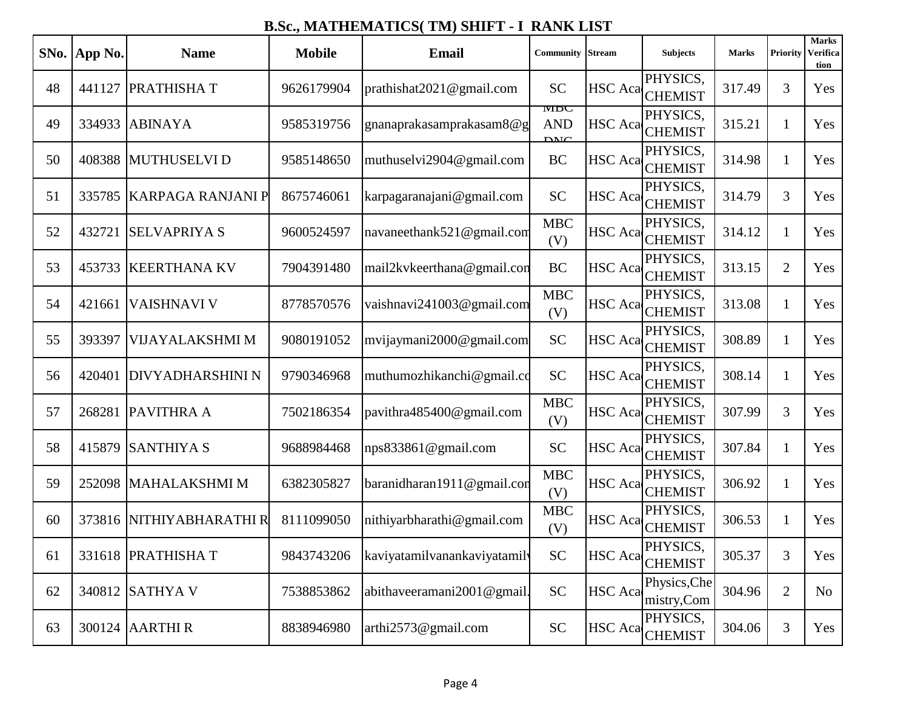|    | SNo. App No. | <b>Name</b>              | <b>Mobile</b> | <b>Email</b>                 | <b>Community</b>                 | <b>Stream</b>  | <b>Subjects</b>             | <b>Marks</b> | <b>Priority</b> | <b>Marks</b><br><b>Verifica</b><br>tion |
|----|--------------|--------------------------|---------------|------------------------------|----------------------------------|----------------|-----------------------------|--------------|-----------------|-----------------------------------------|
| 48 | 441127       | <b>PRATHISHAT</b>        | 9626179904    | prathishat2021@gmail.com     | <b>SC</b>                        | <b>HSC</b> Aca | PHYSICS,<br><b>CHEMIST</b>  | 317.49       | 3               | Yes                                     |
| 49 | 334933       | <b>ABINAYA</b>           | 9585319756    | gnanaprakasamprakasam8@g     | <b>NIDU</b><br><b>AND</b><br>DMC | <b>HSC</b> Aca | PHYSICS,<br><b>CHEMIST</b>  | 315.21       | $\mathbf{1}$    | Yes                                     |
| 50 | 408388       | <b>MUTHUSELVID</b>       | 9585148650    | muthuselvi2904@gmail.com     | <b>BC</b>                        | HSC Acal       | PHYSICS,<br><b>CHEMIST</b>  | 314.98       | $\mathbf{1}$    | Yes                                     |
| 51 | 335785       | <b>KARPAGA RANJANI P</b> | 8675746061    | karpagaranajani@gmail.com    | <b>SC</b>                        | <b>HSC</b> Aca | PHYSICS,<br><b>CHEMIST</b>  | 314.79       | 3               | Yes                                     |
| 52 | 432721       | <b>SELVAPRIYA S</b>      | 9600524597    | navaneethank521@gmail.com    | <b>MBC</b><br>(V)                | <b>HSC</b> Aca | PHYSICS,<br><b>CHEMIST</b>  | 314.12       | $\mathbf{1}$    | Yes                                     |
| 53 | 453733       | <b>KEERTHANA KV</b>      | 7904391480    | mail2kvkeerthana@gmail.con   | <b>BC</b>                        | <b>HSC</b> Aca | PHYSICS,<br><b>CHEMIST</b>  | 313.15       | $\overline{2}$  | Yes                                     |
| 54 | 421661       | <b>VAISHNAVI V</b>       | 8778570576    | vaishnavi241003@gmail.com    | MBC<br>(V)                       | <b>HSC</b> Aca | PHYSICS,<br><b>CHEMIST</b>  | 313.08       | $\mathbf{1}$    | Yes                                     |
| 55 | 393397       | VIJAYALAKSHMI M          | 9080191052    | mvijaymani2000@gmail.com     | <b>SC</b>                        | HSC Aca        | PHYSICS.<br><b>CHEMIST</b>  | 308.89       | $\mathbf{1}$    | Yes                                     |
| 56 | 420401       | <b>DIVYADHARSHINI N</b>  | 9790346968    | muthumozhikanchi@gmail.co    | <b>SC</b>                        | <b>HSC</b> Aca | PHYSICS,<br><b>CHEMIST</b>  | 308.14       | $\mathbf{1}$    | Yes                                     |
| 57 | 268281       | <b>PAVITHRA A</b>        | 7502186354    | pavithra485400@gmail.com     | <b>MBC</b><br>(V)                | <b>HSC</b> Aca | PHYSICS,<br><b>CHEMIST</b>  | 307.99       | 3               | Yes                                     |
| 58 | 415879       | <b>SANTHIYA S</b>        | 9688984468    | nps833861@gmail.com          | <b>SC</b>                        | <b>HSC</b> Aca | PHYSICS,<br><b>CHEMIST</b>  | 307.84       | $\mathbf{1}$    | Yes                                     |
| 59 | 252098       | <b>MAHALAKSHMI M</b>     | 6382305827    | baranidharan1911@gmail.com   | <b>MBC</b><br>(V)                | <b>HSC</b> Aca | PHYSICS,<br><b>CHEMIST</b>  | 306.92       | $\mathbf{1}$    | Yes                                     |
| 60 | 373816       | NITHIYABHARATHI R        | 8111099050    | nithiyarbharathi@gmail.com   | <b>MBC</b><br>(V)                | <b>HSC</b> Aca | PHYSICS.<br><b>CHEMIST</b>  | 306.53       | 1               | Yes                                     |
| 61 |              | 331618 PRATHISHAT        | 9843743206    | kaviyatamilvanankaviyatamily | <b>SC</b>                        |                | PHYSICS,<br>HSC Aca CHEMIST | 305.37       | $\overline{3}$  | Yes                                     |
| 62 | 340812       | <b>SATHYAV</b>           | 7538853862    | abithaveeramani2001@gmail.   | <b>SC</b>                        | <b>HSC</b> Aca | Physics, Che<br>mistry,Com  | 304.96       | $\overline{2}$  | No                                      |
| 63 | 300124       | <b>AARTHIR</b>           | 8838946980    | arthi2573@gmail.com          | <b>SC</b>                        | <b>HSC</b> Aca | PHYSICS,<br><b>CHEMIST</b>  | 304.06       | 3               | Yes                                     |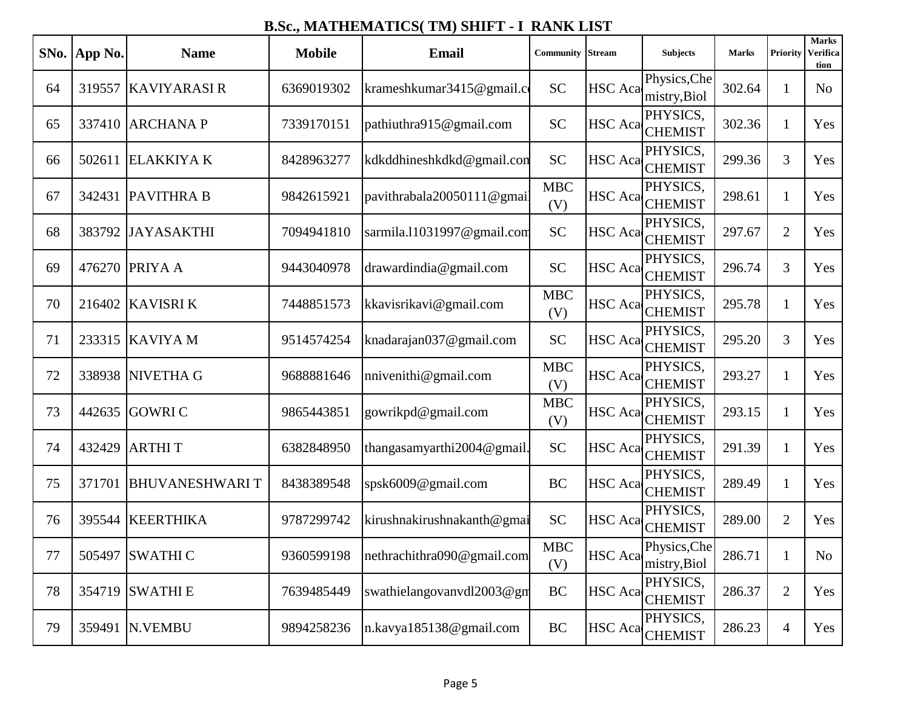|    | SNo. App No. | <b>Name</b>           | <b>Mobile</b> | <b>Email</b>               | <b>Community</b>    | <b>Stream</b>  | <b>Subjects</b>              | <b>Marks</b> | Priority       | <b>Marks</b><br><b>Verifica</b><br>tion |
|----|--------------|-----------------------|---------------|----------------------------|---------------------|----------------|------------------------------|--------------|----------------|-----------------------------------------|
| 64 | 319557       | <b>KAVIYARASI R</b>   | 6369019302    | krameshkumar3415@gmail.com | <b>SC</b>           | <b>HSC</b> Aca | Physics, Che<br>mistry, Biol | 302.64       | $\mathbf{1}$   | N <sub>o</sub>                          |
| 65 | 337410       | <b>ARCHANAP</b>       | 7339170151    | pathiuthra915@gmail.com    | <b>SC</b>           | <b>HSC</b> Aca | PHYSICS,<br><b>CHEMIST</b>   | 302.36       | $\mathbf{1}$   | Yes                                     |
| 66 | 502611       | <b>ELAKKIYAK</b>      | 8428963277    | kdkddhineshkdkd@gmail.con  | <b>SC</b>           | HSC Acal       | PHYSICS,<br><b>CHEMIST</b>   | 299.36       | 3              | Yes                                     |
| 67 |              | 342431   PAVITHRA B   | 9842615921    | pavithrabala20050111@gmail | <b>MBC</b><br>(V)   | <b>HSC</b> Aca | PHYSICS,<br><b>CHEMIST</b>   | 298.61       | $\mathbf{1}$   | Yes                                     |
| 68 | 383792       | <b>JAYASAKTHI</b>     | 7094941810    | sarmila.11031997@gmail.com | <b>SC</b>           | <b>HSC</b> Aca | PHYSICS,<br><b>CHEMIST</b>   | 297.67       | $\overline{2}$ | Yes                                     |
| 69 | 476270       | <b>PRIYAA</b>         | 9443040978    | drawardindia@gmail.com     | <b>SC</b>           | <b>HSC</b> Aca | PHYSICS,<br><b>CHEMIST</b>   | 296.74       | 3              | Yes                                     |
| 70 | 216402       | <b>KAVISRI K</b>      | 7448851573    | kkavisrikavi@gmail.com     | <b>MBC</b><br>(V)   | <b>HSC</b> Aca | PHYSICS,<br><b>CHEMIST</b>   | 295.78       | $\mathbf{1}$   | Yes                                     |
| 71 | 233315       | <b>KAVIYAM</b>        | 9514574254    | knadarajan037@gmail.com    | <b>SC</b>           | HSC Aca        | PHYSICS,<br><b>CHEMIST</b>   | 295.20       | 3              | Yes                                     |
| 72 | 338938       | NIVETHA G             | 9688881646    | nnivenithi@gmail.com       | <b>MBC</b><br>(V)   | <b>HSC</b> Aca | PHYSICS,<br><b>CHEMIST</b>   | 293.27       | $\mathbf{1}$   | Yes                                     |
| 73 | 442635       | <b>GOWRIC</b>         | 9865443851    | gowrikpd@gmail.com         | <b>MBC</b><br>(V)   | <b>HSC</b> Aca | PHYSICS,<br><b>CHEMIST</b>   | 293.15       | $\mathbf{1}$   | Yes                                     |
| 74 | 432429       | <b>ARTHIT</b>         | 6382848950    | thangasamyarthi2004@gmail. | <b>SC</b>           | <b>HSC</b> Aca | PHYSICS,<br><b>CHEMIST</b>   | 291.39       | $\mathbf{1}$   | Yes                                     |
| 75 | 371701       | <b>BHUVANESHWARIT</b> | 8438389548    | spsk6009@gmail.com         | BC                  | <b>HSC</b> Aca | PHYSICS,<br><b>CHEMIST</b>   | 289.49       | $\mathbf{1}$   | Yes                                     |
| 76 | 395544       | <b>KEERTHIKA</b>      | 9787299742    | kirushnakirushnakanth@gmai | <b>SC</b>           | <b>HSC</b> Aca | PHYSICS,<br><b>CHEMIST</b>   | 289.00       | $\overline{2}$ | Yes                                     |
| 77 |              | 505497 SWATHI C       | 9360599198    | nethrachithra090@gmail.com | MBC<br>(V)          | HSC Aca        | Physics, Che<br>mistry, Biol | 286.71       |                | No                                      |
| 78 | 354719       | <b>SWATHIE</b>        | 7639485449    | swathielangovanvdl2003@gm  | BC                  | <b>HSC</b> Aca | PHYSICS,<br><b>CHEMIST</b>   | 286.37       | $\overline{2}$ | Yes                                     |
| 79 | 359491       | N.VEMBU               | 9894258236    | n.kavya185138@gmail.com    | $\operatorname{BC}$ | <b>HSC</b> Aca | PHYSICS,<br><b>CHEMIST</b>   | 286.23       | 4              | Yes                                     |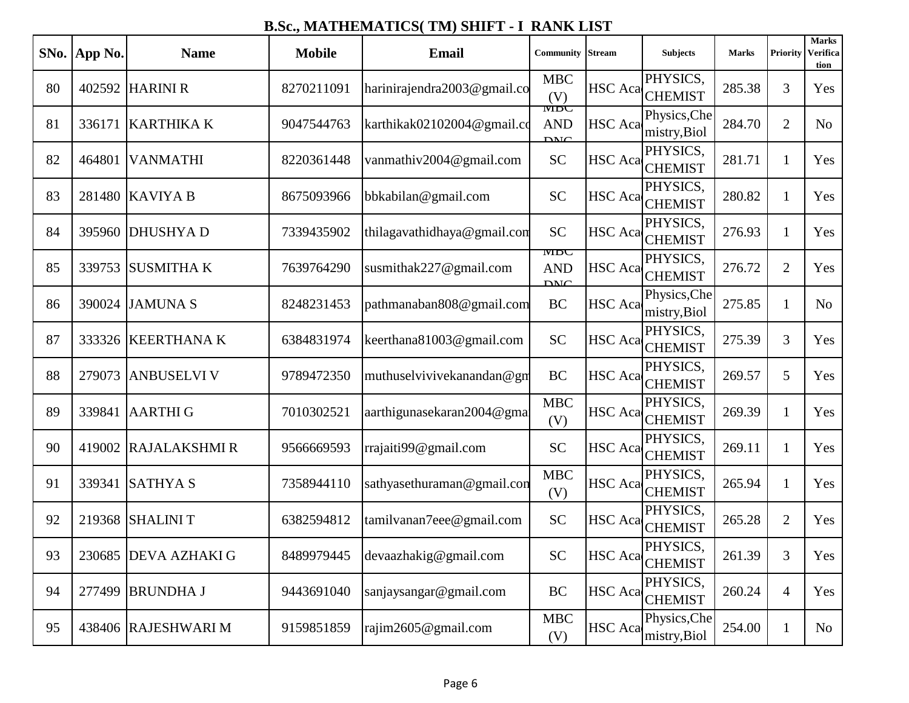| SNo. | App No. | <b>Name</b>          | <b>Mobile</b> | <b>Email</b>                | <b>Community</b>                 | <b>Stream</b>  | <b>Subjects</b>                   | <b>Marks</b> | <b>Priority</b> | <b>Marks</b><br>Verifica<br>tion |
|------|---------|----------------------|---------------|-----------------------------|----------------------------------|----------------|-----------------------------------|--------------|-----------------|----------------------------------|
| 80   | 402592  | <b>HARINI R</b>      | 8270211091    | harinirajendra2003@gmail.co | <b>MBC</b><br>(V)                | <b>HSC</b> Aca | PHYSICS,<br><b>CHEMIST</b>        | 285.38       | 3               | Yes                              |
| 81   | 336171  | <b>KARTHIKA K</b>    | 9047544763    | karthikak02102004@gmail.co  | <b>NIDU</b><br><b>AND</b><br>DMC | <b>HSC</b> Aca | Physics, Che<br>mistry, Biol      | 284.70       | $\overline{2}$  | N <sub>o</sub>                   |
| 82   | 464801  | <b>VANMATHI</b>      | 8220361448    | vanmathiv2004@gmail.com     | <b>SC</b>                        | <b>HSC</b> Aca | PHYSICS,<br><b>CHEMIST</b>        | 281.71       | $\mathbf{1}$    | Yes                              |
| 83   | 281480  | <b>KAVIYA B</b>      | 8675093966    | bbkabilan@gmail.com         | <b>SC</b>                        | <b>HSC</b> Aca | PHYSICS,<br><b>CHEMIST</b>        | 280.82       | $\mathbf{1}$    | Yes                              |
| 84   | 395960  | <b>DHUSHYAD</b>      | 7339435902    | thilagavathidhaya@gmail.com | <b>SC</b>                        | HSC Aca        | PHYSICS,<br><b>CHEMIST</b>        | 276.93       | $\mathbf{1}$    | Yes                              |
| 85   | 339753  | <b>SUSMITHAK</b>     | 7639764290    | susmithak227@gmail.com      | <b>NIDU</b><br><b>AND</b><br>DMC | <b>HSC</b> Aca | PHYSICS,<br><b>CHEMIST</b>        | 276.72       | $\overline{2}$  | Yes                              |
| 86   | 390024  | <b>JAMUNAS</b>       | 8248231453    | pathmanaban808@gmail.com    | <b>BC</b>                        | <b>HSC</b> Aca | Physics, Che<br>mistry, Biol      | 275.85       | $\mathbf{1}$    | N <sub>o</sub>                   |
| 87   | 333326  | <b>KEERTHANAK</b>    | 6384831974    | keerthana81003@gmail.com    | <b>SC</b>                        | <b>HSC</b> Aca | PHYSICS,<br><b>CHEMIST</b>        | 275.39       | 3               | Yes                              |
| 88   | 279073  | <b>ANBUSELVI V</b>   | 9789472350    | muthuselvivivekanandan@gm   | BC                               | <b>HSC</b> Aca | PHYSICS,<br><b>CHEMIST</b>        | 269.57       | 5               | Yes                              |
| 89   | 339841  | <b>AARTHIG</b>       | 7010302521    | aarthigunasekaran2004@gma   | <b>MBC</b><br>(V)                | <b>HSC</b> Aca | PHYSICS,<br><b>CHEMIST</b>        | 269.39       | $\mathbf{1}$    | Yes                              |
| 90   | 419002  | <b>RAJALAKSHMI R</b> | 9566669593    | rrajaiti99@gmail.com        | <b>SC</b>                        | <b>HSC</b> Aca | PHYSICS,<br><b>CHEMIST</b>        | 269.11       | $\mathbf{1}$    | Yes                              |
| 91   | 339341  | <b>SATHYAS</b>       | 7358944110    | sathyasethuraman@gmail.con  | <b>MBC</b><br>(V)                | <b>HSC</b> Aca | PHYSICS,<br><b>CHEMIST</b>        | 265.94       | $\mathbf{1}$    | Yes                              |
| 92   | 219368  | <b>SHALINIT</b>      | 6382594812    | tamiIvanan7eee@gmail.com    | <b>SC</b>                        | <b>HSC</b> Aca | PHYSICS,<br><b>CHEMIST</b>        | 265.28       | $\overline{2}$  | Yes                              |
| 93   |         | 230685 DEVA AZHAKI G | 8489979445    | devaazhakig@gmail.com       | ${\rm SC}$                       |                | <b>PHYSICS</b><br>HSC Aca CHEMIST | 261.39       | 3               | Yes                              |
| 94   | 277499  | <b>BRUNDHAJ</b>      | 9443691040    | sanjaysangar@gmail.com      | BC                               | <b>HSC</b> Aca | PHYSICS,<br><b>CHEMIST</b>        | 260.24       | 4               | Yes                              |
| 95   |         | 438406 RAJESHWARI M  | 9159851859    | rajim2605@gmail.com         | <b>MBC</b><br>(V)                | <b>HSC</b> Aca | Physics, Che<br>mistry, Biol      | 254.00       | $\mathbf{1}$    | No                               |